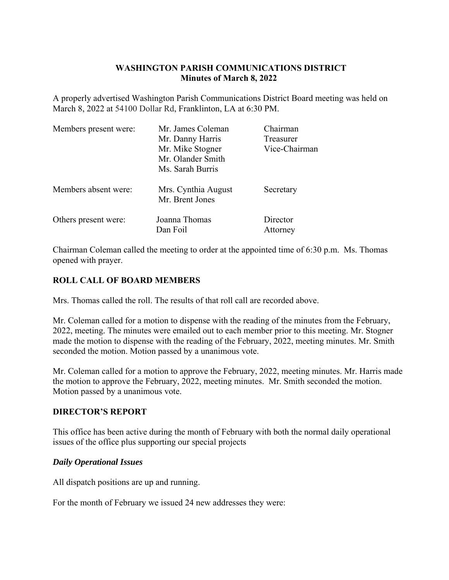# **WASHINGTON PARISH COMMUNICATIONS DISTRICT Minutes of March 8, 2022**

A properly advertised Washington Parish Communications District Board meeting was held on March 8, 2022 at 54100 Dollar Rd, Franklinton, LA at 6:30 PM.

| Members present were: | Mr. James Coleman                      | Chairman             |
|-----------------------|----------------------------------------|----------------------|
|                       | Mr. Danny Harris                       | Treasurer            |
|                       | Mr. Mike Stogner                       | Vice-Chairman        |
|                       | Mr. Olander Smith                      |                      |
|                       | Ms. Sarah Burris                       |                      |
| Members absent were:  | Mrs. Cynthia August<br>Mr. Brent Jones | Secretary            |
| Others present were:  | Joanna Thomas<br>Dan Foil              | Director<br>Attorney |

Chairman Coleman called the meeting to order at the appointed time of 6:30 p.m. Ms. Thomas opened with prayer.

## **ROLL CALL OF BOARD MEMBERS**

Mrs. Thomas called the roll. The results of that roll call are recorded above.

Mr. Coleman called for a motion to dispense with the reading of the minutes from the February, 2022, meeting. The minutes were emailed out to each member prior to this meeting. Mr. Stogner made the motion to dispense with the reading of the February, 2022, meeting minutes. Mr. Smith seconded the motion. Motion passed by a unanimous vote.

Mr. Coleman called for a motion to approve the February, 2022, meeting minutes. Mr. Harris made the motion to approve the February, 2022, meeting minutes. Mr. Smith seconded the motion. Motion passed by a unanimous vote.

#### **DIRECTOR'S REPORT**

This office has been active during the month of February with both the normal daily operational issues of the office plus supporting our special projects

#### *Daily Operational Issues*

All dispatch positions are up and running.

For the month of February we issued 24 new addresses they were: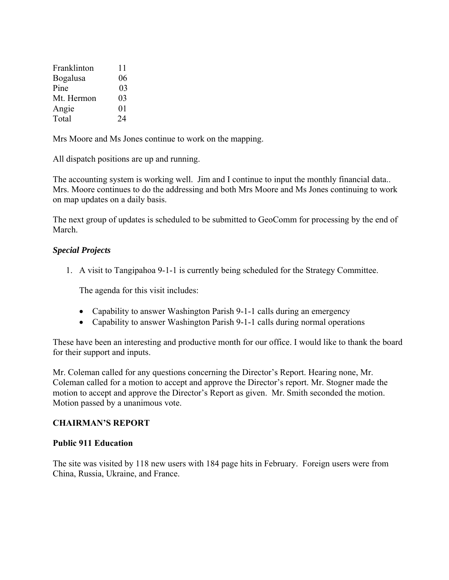| Franklinton     | 11             |
|-----------------|----------------|
| <b>Bogalusa</b> | 06             |
| Pine            | 03             |
| Mt. Hermon      | 0 <sub>3</sub> |
| Angie           | 01             |
| Total           | 24             |

Mrs Moore and Ms Jones continue to work on the mapping.

All dispatch positions are up and running.

The accounting system is working well. Jim and I continue to input the monthly financial data.. Mrs. Moore continues to do the addressing and both Mrs Moore and Ms Jones continuing to work on map updates on a daily basis.

The next group of updates is scheduled to be submitted to GeoComm for processing by the end of March.

## *Special Projects*

1. A visit to Tangipahoa 9-1-1 is currently being scheduled for the Strategy Committee.

The agenda for this visit includes:

- Capability to answer Washington Parish 9-1-1 calls during an emergency
- Capability to answer Washington Parish 9-1-1 calls during normal operations

These have been an interesting and productive month for our office. I would like to thank the board for their support and inputs.

Mr. Coleman called for any questions concerning the Director's Report. Hearing none, Mr. Coleman called for a motion to accept and approve the Director's report. Mr. Stogner made the motion to accept and approve the Director's Report as given. Mr. Smith seconded the motion. Motion passed by a unanimous vote.

#### **CHAIRMAN'S REPORT**

#### **Public 911 Education**

The site was visited by 118 new users with 184 page hits in February. Foreign users were from China, Russia, Ukraine, and France.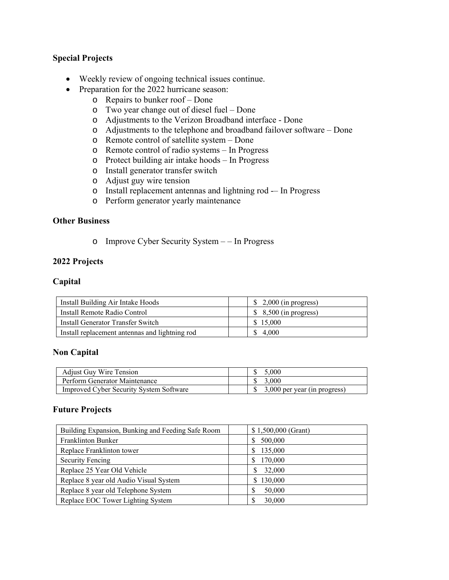## **Special Projects**

- Weekly review of ongoing technical issues continue.
- Preparation for the 2022 hurricane season:
	- o Repairs to bunker roof Done
	- o Two year change out of diesel fuel Done
	- o Adjustments to the Verizon Broadband interface Done
	- o Adjustments to the telephone and broadband failover software Done
	- o Remote control of satellite system Done
	- o Remote control of radio systems In Progress
	- o Protect building air intake hoods In Progress
	- o Install generator transfer switch
	- o Adjust guy wire tension
	- o Install replacement antennas and lightning rod -– In Progress
	- o Perform generator yearly maintenance

#### **Other Business**

o Improve Cyber Security System – – In Progress

#### **2022 Projects**

#### **Capital**

| Install Building Air Intake Hoods              | $\frac{1}{2}$ ,000 (in progress) |
|------------------------------------------------|----------------------------------|
| Install Remote Radio Control                   | $$8,500$ (in progress)           |
| Install Generator Transfer Switch              | \$15,000                         |
| Install replacement antennas and lightning rod | \$ 4,000                         |

#### **Non Capital**

| <b>Adjust Guy Wire Tension</b>                 | 5.000                                        |
|------------------------------------------------|----------------------------------------------|
| Perform Generator Maintenance                  | 3.000                                        |
| <b>Improved Cyber Security System Software</b> | $\frac{1}{2}$ , 3,000 per year (in progress) |

#### **Future Projects**

| Building Expansion, Bunking and Feeding Safe Room | \$1,500,000 (Grant) |
|---------------------------------------------------|---------------------|
| Franklinton Bunker                                | 500,000<br>S        |
| Replace Franklinton tower                         | 135,000<br>S        |
| <b>Security Fencing</b>                           | 170,000<br>S        |
| Replace 25 Year Old Vehicle                       | 32,000              |
| Replace 8 year old Audio Visual System            | \$130,000           |
| Replace 8 year old Telephone System               | 50,000              |
| Replace EOC Tower Lighting System                 | 30,000              |